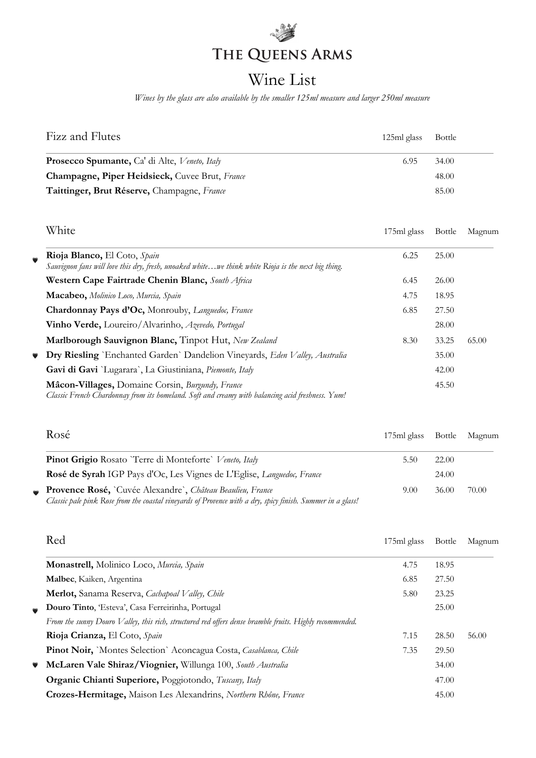# THE QUEENS ARMS

## Wine List

*Wines by the glass are also available by the smaller 125ml measure and larger 250ml measure*

| Fizz and Flutes                                       | 125ml glass | Bottle |
|-------------------------------------------------------|-------------|--------|
| <b>Prosecco Spumante, Ca' di Alte, Veneto, Italy</b>  | 6.95        | 34.00  |
| <b>Champagne, Piper Heidsieck, Cuvee Brut, France</b> |             | 48.00  |
| Taittinger, Brut Réserve, Champagne, France           |             | 85.00  |

|           | White                                                                                                                                                | 175ml glass | Bottle | Magnum |
|-----------|------------------------------------------------------------------------------------------------------------------------------------------------------|-------------|--------|--------|
| $\bullet$ | Rioja Blanco, El Coto, Spain<br>Sauvignon fans will love this dry, fresh, unoaked whitewe think white Rioja is the next big thing.                   | 6.25        | 25.00  |        |
|           | Western Cape Fairtrade Chenin Blanc, South Africa                                                                                                    | 6.45        | 26.00  |        |
|           | Macabeo, Molinico Loco, Murcia, Spain                                                                                                                | 4.75        | 18.95  |        |
|           | Chardonnay Pays d'Oc, Monrouby, Languedoc, France                                                                                                    | 6.85        | 27.50  |        |
|           | Vinho Verde, Loureiro/Alvarinho, Azevedo, Portugal                                                                                                   |             | 28.00  |        |
|           | Marlborough Sauvignon Blanc, Tinpot Hut, New Zealand                                                                                                 | 8.30        | 33.25  | 65.00  |
| $\bullet$ | Dry Riesling `Enchanted Garden` Dandelion Vineyards, Eden Valley, Australia                                                                          |             | 35.00  |        |
|           | Gavi di Gavi `Lugarara`, La Giustiniana, Piemonte, Italy                                                                                             |             | 42.00  |        |
|           | Mâcon-Villages, Domaine Corsin, Burgundy, France<br>Classic French Chardonnay from its homeland. Soft and creamy with balancing acid freshness. Yum! |             | 45.50  |        |

|           | Rosé                                                                                                                                                                     | 175ml glass Bottle Magnum |       |       |
|-----------|--------------------------------------------------------------------------------------------------------------------------------------------------------------------------|---------------------------|-------|-------|
|           | <b>Pinot Grigio Rosato</b> 'Terre di Monteforte' Veneto, Italy                                                                                                           | 5.50                      | 22.00 |       |
|           | Rosé de Syrah IGP Pays d'Oc, Les Vignes de L'Eglise, Languedoc, France                                                                                                   |                           | 24.00 |       |
| $\bullet$ | Provence Rosé, `Cuvée Alexandre`, Château Beaulieu, France<br>Classic pale pink Rose from the coastal vineyards of Provence with a dry, spicy finish. Summer in a glass! | 9.00                      | 36.00 | 70.00 |

|           | Red                                                                                                     | 175ml glass | Bottle | Magnum |
|-----------|---------------------------------------------------------------------------------------------------------|-------------|--------|--------|
|           | Monastrell, Molinico Loco, Murcia, Spain                                                                | 4.75        | 18.95  |        |
|           | Malbec, Kaiken, Argentina                                                                               | 6.85        | 27.50  |        |
|           | Merlot, Sanama Reserva, Cachapoal Valley, Chile                                                         | 5.80        | 23.25  |        |
|           | Douro Tinto, 'Esteva', Casa Ferreirinha, Portugal                                                       |             | 25.00  |        |
|           | From the sunny Douro Valley, this rich, structured red offers dense bramble fruits. Highly recommended. |             |        |        |
|           | Rioja Crianza, El Coto, Spain                                                                           | 7.15        | 28.50  | 56.00  |
|           | Pinot Noir, `Montes Selection` Aconcagua Costa, Casablanca, Chile                                       | 7.35        | 29.50  |        |
| $\bullet$ | McLaren Vale Shiraz/Viognier, Willunga 100, South Australia                                             |             | 34.00  |        |
|           | Organic Chianti Superiore, Poggiotondo, Tuscany, Italy                                                  |             | 47.00  |        |
|           | Crozes-Hermitage, Maison Les Alexandrins, Northern Rhône, France                                        |             | 45.00  |        |